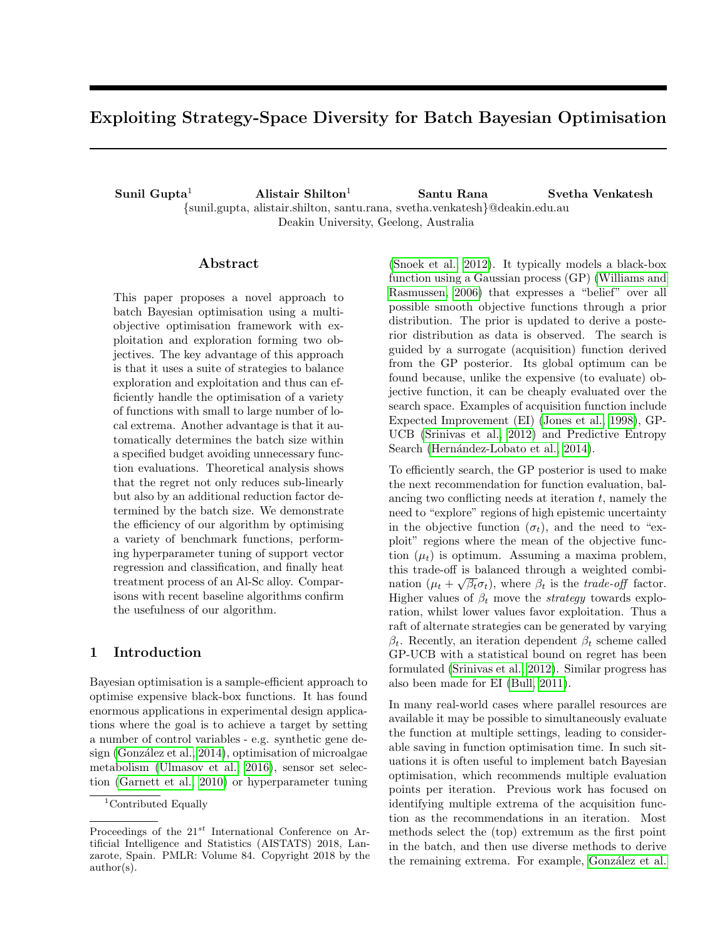# Exploiting Strategy-Space Diversity for Batch Bayesian Optimisation

Sunil Gupta<sup>1</sup> Alistair Shilton<sup>1</sup> Santu Rana Svetha Venkatesh {sunil.gupta, alistair.shilton, santu.rana, svetha.venkatesh}@deakin.edu.au Deakin University, Geelong, Australia

## Abstract

This paper proposes a novel approach to batch Bayesian optimisation using a multiobjective optimisation framework with exploitation and exploration forming two objectives. The key advantage of this approach is that it uses a suite of strategies to balance exploration and exploitation and thus can efficiently handle the optimisation of a variety of functions with small to large number of local extrema. Another advantage is that it automatically determines the batch size within a specified budget avoiding unnecessary function evaluations. Theoretical analysis shows that the regret not only reduces sub-linearly but also by an additional reduction factor determined by the batch size. We demonstrate the efficiency of our algorithm by optimising a variety of benchmark functions, performing hyperparameter tuning of support vector regression and classification, and finally heat treatment process of an Al-Sc alloy. Comparisons with recent baseline algorithms confirm the usefulness of our algorithm.

# 1 Introduction

Bayesian optimisation is a sample-efficient approach to optimise expensive black-box functions. It has found enormous applications in experimental design applications where the goal is to achieve a target by setting a number of control variables - e.g. synthetic gene design (González et al., 2014), optimisation of microalgae metabolism [\(Ulmasov et al., 2016\)](#page-9-0), sensor set selection [\(Garnett et al., 2010\)](#page-8-1) or hyperparameter tuning

[\(Snoek et al., 2012\)](#page-8-2). It typically models a black-box function using a Gaussian process (GP) [\(Williams and](#page-9-1) [Rasmussen, 2006\)](#page-9-1) that expresses a "belief" over all possible smooth objective functions through a prior distribution. The prior is updated to derive a posterior distribution as data is observed. The search is guided by a surrogate (acquisition) function derived from the GP posterior. Its global optimum can be found because, unlike the expensive (to evaluate) objective function, it can be cheaply evaluated over the search space. Examples of acquisition function include Expected Improvement (EI) [\(Jones et al., 1998\)](#page-8-3), GP-UCB [\(Srinivas et al., 2012\)](#page-8-4) and Predictive Entropy Search (Hernández-Lobato et al., 2014).

To efficiently search, the GP posterior is used to make the next recommendation for function evaluation, balancing two conflicting needs at iteration  $t$ , namely the need to "explore" regions of high epistemic uncertainty in the objective function  $(\sigma_t)$ , and the need to "exploit" regions where the mean of the objective function  $(\mu_t)$  is optimum. Assuming a maxima problem, this trade-off is balanced through a weighted combination  $(\mu_t + \sqrt{\beta_t} \sigma_t)$ , where  $\beta_t$  is the *trade-off* factor. Higher values of  $\beta_t$  move the *strategy* towards exploration, whilst lower values favor exploitation. Thus a raft of alternate strategies can be generated by varying  $\beta_t$ . Recently, an iteration dependent  $\beta_t$  scheme called GP-UCB with a statistical bound on regret has been formulated [\(Srinivas et al., 2012\)](#page-8-4). Similar progress has also been made for EI [\(Bull, 2011\)](#page-8-6).

In many real-world cases where parallel resources are available it may be possible to simultaneously evaluate the function at multiple settings, leading to considerable saving in function optimisation time. In such situations it is often useful to implement batch Bayesian optimisation, which recommends multiple evaluation points per iteration. Previous work has focused on identifying multiple extrema of the acquisition function as the recommendations in an iteration. Most methods select the (top) extremum as the first point in the batch, and then use diverse methods to derive the remaining extrema. For example, González et al.

<sup>&</sup>lt;sup>1</sup>Contributed Equally

Proceedings of the  $21^{st}$  International Conference on Artificial Intelligence and Statistics (AISTATS) 2018, Lanzarote, Spain. PMLR: Volume 84. Copyright 2018 by the author(s).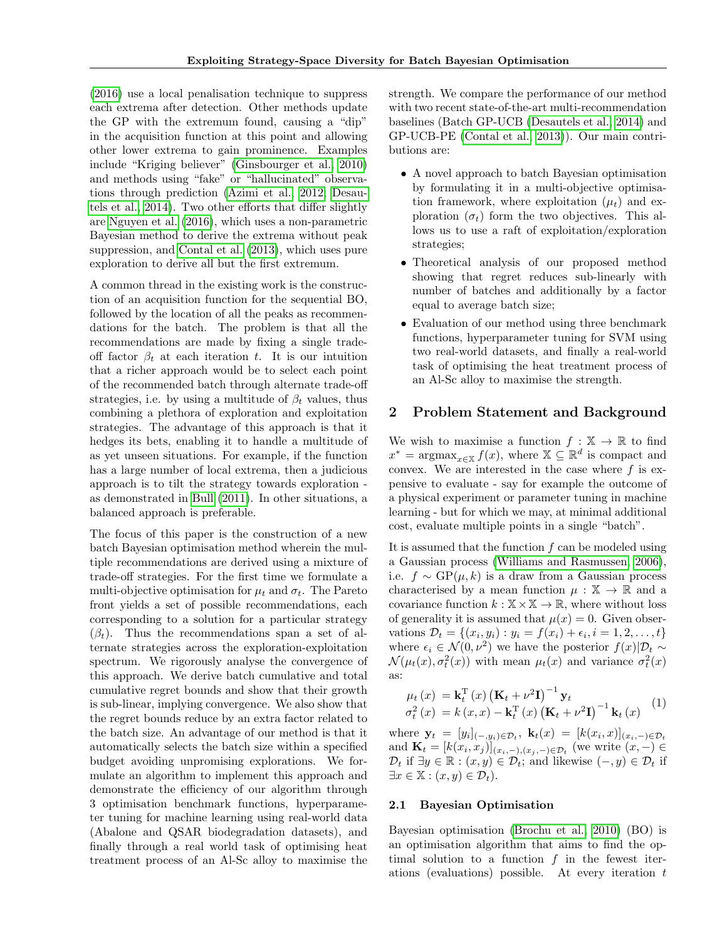[\(2016\)](#page-8-7) use a local penalisation technique to suppress each extrema after detection. Other methods update the GP with the extremum found, causing a "dip" in the acquisition function at this point and allowing other lower extrema to gain prominence. Examples include "Kriging believer" [\(Ginsbourger et al., 2010\)](#page-8-8) and methods using "fake" or "hallucinated" observations through prediction [\(Azimi et al., 2012;](#page-8-9) [Desau](#page-8-10)[tels et al., 2014\)](#page-8-10). Two other efforts that differ slightly are [Nguyen et al.](#page-8-11) [\(2016\)](#page-8-11), which uses a non-parametric Bayesian method to derive the extrema without peak suppression, and [Contal et al.](#page-8-12) [\(2013\)](#page-8-12), which uses pure exploration to derive all but the first extremum.

A common thread in the existing work is the construction of an acquisition function for the sequential BO, followed by the location of all the peaks as recommendations for the batch. The problem is that all the recommendations are made by fixing a single tradeoff factor  $\beta_t$  at each iteration t. It is our intuition that a richer approach would be to select each point of the recommended batch through alternate trade-off strategies, i.e. by using a multitude of  $\beta_t$  values, thus combining a plethora of exploration and exploitation strategies. The advantage of this approach is that it hedges its bets, enabling it to handle a multitude of as yet unseen situations. For example, if the function has a large number of local extrema, then a judicious approach is to tilt the strategy towards exploration as demonstrated in [Bull](#page-8-6) [\(2011\)](#page-8-6). In other situations, a balanced approach is preferable.

The focus of this paper is the construction of a new batch Bayesian optimisation method wherein the multiple recommendations are derived using a mixture of trade-off strategies. For the first time we formulate a multi-objective optimisation for  $\mu_t$  and  $\sigma_t$ . The Pareto front yields a set of possible recommendations, each corresponding to a solution for a particular strategy  $(\beta_t)$ . Thus the recommendations span a set of alternate strategies across the exploration-exploitation spectrum. We rigorously analyse the convergence of this approach. We derive batch cumulative and total cumulative regret bounds and show that their growth is sub-linear, implying convergence. We also show that the regret bounds reduce by an extra factor related to the batch size. An advantage of our method is that it automatically selects the batch size within a specified budget avoiding unpromising explorations. We formulate an algorithm to implement this approach and demonstrate the efficiency of our algorithm through 3 optimisation benchmark functions, hyperparameter tuning for machine learning using real-world data (Abalone and QSAR biodegradation datasets), and finally through a real world task of optimising heat treatment process of an Al-Sc alloy to maximise the strength. We compare the performance of our method with two recent state-of-the-art multi-recommendation baselines (Batch GP-UCB [\(Desautels et al., 2014\)](#page-8-10) and GP-UCB-PE [\(Contal et al., 2013\)](#page-8-12)). Our main contributions are:

- A novel approach to batch Bayesian optimisation by formulating it in a multi-objective optimisation framework, where exploitation  $(\mu_t)$  and exploration  $(\sigma_t)$  form the two objectives. This allows us to use a raft of exploitation/exploration strategies;
- Theoretical analysis of our proposed method showing that regret reduces sub-linearly with number of batches and additionally by a factor equal to average batch size;
- Evaluation of our method using three benchmark functions, hyperparameter tuning for SVM using two real-world datasets, and finally a real-world task of optimising the heat treatment process of an Al-Sc alloy to maximise the strength.

## 2 Problem Statement and Background

We wish to maximise a function  $f : \mathbb{X} \to \mathbb{R}$  to find  $x^* = \operatorname{argmax}_{x \in \mathbb{X}} f(x)$ , where  $\mathbb{X} \subseteq \mathbb{R}^d$  is compact and convex. We are interested in the case where  $f$  is expensive to evaluate - say for example the outcome of a physical experiment or parameter tuning in machine learning - but for which we may, at minimal additional cost, evaluate multiple points in a single "batch".

It is assumed that the function  $f$  can be modeled using a Gaussian process [\(Williams and Rasmussen, 2006\)](#page-9-1), i.e.  $f \sim GP(\mu, k)$  is a draw from a Gaussian process characterised by a mean function  $\mu : \mathbb{X} \to \mathbb{R}$  and a covariance function  $k : \mathbb{X} \times \mathbb{X} \to \mathbb{R}$ , where without loss of generality it is assumed that  $\mu(x) = 0$ . Given observations  $\mathcal{D}_t = \{(x_i, y_i) : y_i = f(x_i) + \epsilon_i, i = 1, 2, ..., t\}$ where  $\epsilon_i \in \mathcal{N}(0, \nu^2)$  we have the posterior  $f(x)|\mathcal{D}_t \sim$  $\mathcal{N}(\mu_t(x), \sigma_t^2(x))$  with mean  $\mu_t(x)$  and variance  $\sigma_t^2(x)$ as:

$$
\mu_t(x) = \mathbf{k}_t^{\mathrm{T}}(x) (\mathbf{K}_t + \nu^2 \mathbf{I})^{-1} \mathbf{y}_t \n\sigma_t^2(x) = k(x, x) - \mathbf{k}_t^{\mathrm{T}}(x) (\mathbf{K}_t + \nu^2 \mathbf{I})^{-1} \mathbf{k}_t(x)
$$
\n(1)

where  $\mathbf{y}_t = [y_i]_{(-,y_i)\in \mathcal{D}_t}, \ \mathbf{k}_t(x) = [k(x_i,x)]_{(x_i,-)\in \mathcal{D}_t}$ and  $\mathbf{K}_t = [k(x_i, x_j)]_{(x_i, -), (x_j, -)\in \mathcal{D}_t}$  (we write  $(x, -) \in$  $\mathcal{D}_t$  if  $\exists y \in \mathbb{R} : (x, y) \in \mathcal{D}_t$ ; and likewise  $(-, y) \in \mathcal{D}_t$  if  $\exists x \in \mathbb{X} : (x, y) \in \mathcal{D}_t$ .

#### 2.1 Bayesian Optimisation

Bayesian optimisation [\(Brochu et al., 2010\)](#page-8-13) (BO) is an optimisation algorithm that aims to find the optimal solution to a function  $f$  in the fewest iterations (evaluations) possible. At every iteration t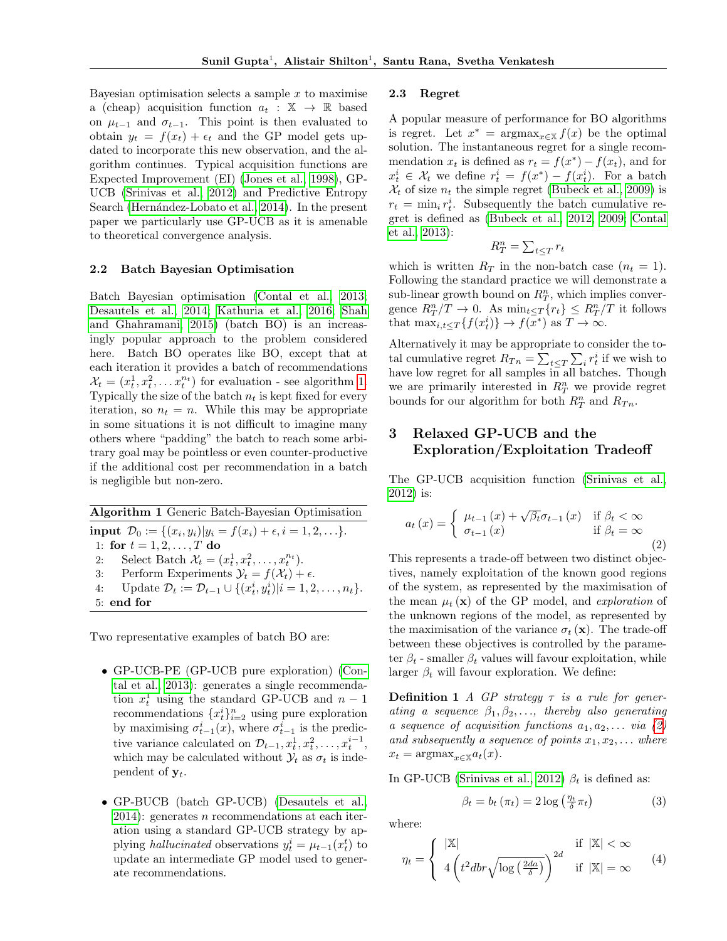Bayesian optimisation selects a sample  $x$  to maximise a (cheap) acquisition function  $a_t : \mathbb{X} \to \mathbb{R}$  based on  $\mu_{t-1}$  and  $\sigma_{t-1}$ . This point is then evaluated to obtain  $y_t = f(x_t) + \epsilon_t$  and the GP model gets updated to incorporate this new observation, and the algorithm continues. Typical acquisition functions are Expected Improvement (EI) [\(Jones et al., 1998\)](#page-8-3), GP-UCB [\(Srinivas et al., 2012\)](#page-8-4) and Predictive Entropy Search (Hernández-Lobato et al., 2014). In the present paper we particularly use GP-UCB as it is amenable to theoretical convergence analysis.

#### 2.2 Batch Bayesian Optimisation

Batch Bayesian optimisation [\(Contal et al., 2013;](#page-8-12) [Desautels et al., 2014;](#page-8-10) [Kathuria et al., 2016;](#page-8-14) [Shah](#page-8-15) [and Ghahramani, 2015\)](#page-8-15) (batch BO) is an increasingly popular approach to the problem considered here. Batch BO operates like BO, except that at each iteration it provides a batch of recommendations  $\mathcal{X}_t = (x_t^1, x_t^2, \dots x_t^{n_t})$  for evaluation - see algorithm [1.](#page-2-0) Typically the size of the batch  $n_t$  is kept fixed for every iteration, so  $n_t = n$ . While this may be appropriate in some situations it is not difficult to imagine many others where "padding" the batch to reach some arbitrary goal may be pointless or even counter-productive if the additional cost per recommendation in a batch is negligible but non-zero.

<span id="page-2-0"></span>Algorithm 1 Generic Batch-Bayesian Optimisation input  $\mathcal{D}_0 := \{(x_i, y_i)|y_i = f(x_i) + \epsilon, i = 1, 2, \ldots\}.$ 1: for  $t = 1, 2, ..., T$  do 2: Select Batch  $\mathcal{X}_t = (x_t^1, x_t^2, \dots, x_t^{n_t}).$ 3: Perform Experiments  $\mathcal{Y}_t = f(\mathcal{X}_t) + \epsilon$ . 4: Update  $\mathcal{D}_t := \mathcal{D}_{t-1} \cup \{(x_t^i, y_t^i) | i = 1, 2, \dots, n_t\}.$ 5: end for

Two representative examples of batch BO are:

- GP-UCB-PE (GP-UCB pure exploration) [\(Con](#page-8-12)[tal et al., 2013\)](#page-8-12): generates a single recommendation  $x_t^1$  using the standard GP-UCB and  $n-1$ recommendations  ${x_t^i}_{i=2}^n$  using pure exploration by maximising  $\sigma_{t-1}^i(x)$ , where  $\sigma_{t-1}^i$  is the predictive variance calculated on  $\mathcal{D}_{t-1}, x_t^1, x_t^2, \ldots, x_t^{i-1}$ , which may be calculated without  $\mathcal{Y}_t$  as  $\sigma_t$  is independent of  $y_t$ .
- GP-BUCB (batch GP-UCB) [\(Desautels et al.,](#page-8-10)  $2014$ : generates *n* recommendations at each iteration using a standard GP-UCB strategy by applying *hallucinated* observations  $y_t^i = \mu_{t-1}(x_t^t)$  to update an intermediate GP model used to generate recommendations.

#### <span id="page-2-4"></span>2.3 Regret

A popular measure of performance for BO algorithms is regret. Let  $x^* = \text{argmax}_{x \in \mathbb{X}} f(x)$  be the optimal solution. The instantaneous regret for a single recommendation  $x_t$  is defined as  $r_t = f(x^*) - f(x_t)$ , and for  $x_t^i \in \mathcal{X}_t$  we define  $r_t^i = f(x^*) - f(x_t^i)$ . For a batch  $\mathcal{X}_t$  of size  $n_t$  the simple regret [\(Bubeck et al., 2009\)](#page-8-16) is  $r_t = \min_i r_t^i$ . Subsequently the batch cumulative regret is defined as [\(Bubeck et al., 2012,](#page-8-17) [2009;](#page-8-16) [Contal](#page-8-12) [et al., 2013\)](#page-8-12):

$$
R_T^n = \sum_{t \le T} r_t
$$

which is written  $R_T$  in the non-batch case  $(n_t = 1)$ . Following the standard practice we will demonstrate a sub-linear growth bound on  $R_T^n$ , which implies convergence  $R_T^n/T \to 0$ . As  $\min_{t \le T} \{r_t\} \le R_T^n/T$  it follows that  $\max_{i,t\leq T}\{f(x_t^i)\}\to f(x^*)$  as  $T\to\infty$ .

Alternatively it may be appropriate to consider the total cumulative regret  $R_{Tn} = \sum_{t \leq T} \sum_i r_t^i$  if we wish to have low regret for all samples in all batches. Though we are primarily interested in  $R_T^n$  we provide regret bounds for our algorithm for both  $R_T^n$  and  $R_{T_n}$ .

# 3 Relaxed GP-UCB and the Exploration/Exploitation Tradeoff

The GP-UCB acquisition function [\(Srinivas et al.,](#page-8-4) [2012\)](#page-8-4) is:

<span id="page-2-1"></span>
$$
a_{t}(x) = \begin{cases} \mu_{t-1}(x) + \sqrt{\beta_{t}} \sigma_{t-1}(x) & \text{if } \beta_{t} < \infty \\ \sigma_{t-1}(x) & \text{if } \beta_{t} = \infty \end{cases}
$$
 (2)

This represents a trade-off between two distinct objectives, namely exploitation of the known good regions of the system, as represented by the maximisation of the mean  $\mu_t(\mathbf{x})$  of the GP model, and *exploration* of the unknown regions of the model, as represented by the maximisation of the variance  $\sigma_t(\mathbf{x})$ . The trade-off between these objectives is controlled by the parameter  $\beta_t$  - smaller  $\beta_t$  values will favour exploitation, while larger  $\beta_t$  will favour exploration. We define:

**Definition 1** A GP strategy  $\tau$  is a rule for generating a sequence  $\beta_1, \beta_2, \ldots$ , thereby also generating a sequence of acquisition functions  $a_1, a_2, \ldots$  via [\(2\)](#page-2-1) and subsequently a sequence of points  $x_1, x_2, \ldots$  where  $x_t = \text{argmax}_{x \in \mathbb{X}} a_t(x).$ 

In GP-UCB [\(Srinivas et al., 2012\)](#page-8-4)  $\beta_t$  is defined as:

<span id="page-2-2"></span>
$$
\beta_t = b_t \left( \pi_t \right) = 2 \log \left( \frac{\eta_t}{\delta} \pi_t \right) \tag{3}
$$

where:

<span id="page-2-3"></span>
$$
\eta_t = \begin{cases} |\mathbb{X}| & \text{if } |\mathbb{X}| < \infty \\ 4 \left( t^2 dbr \sqrt{\log \left( \frac{2da}{\delta} \right)} \right)^{2d} & \text{if } |\mathbb{X}| = \infty \end{cases} (4)
$$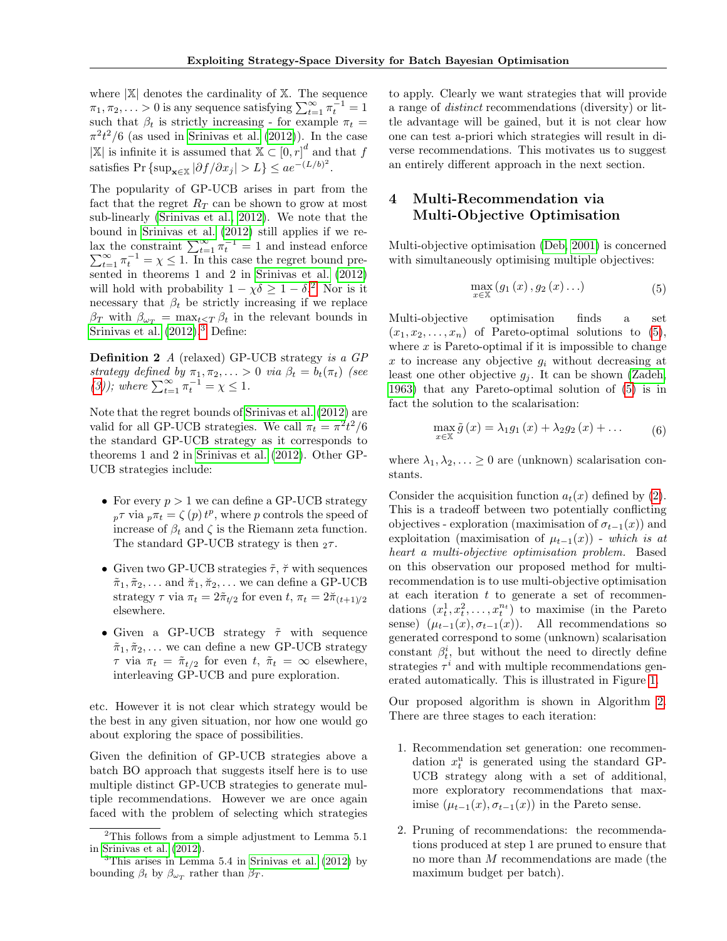where  $|\mathbb{X}|$  denotes the cardinality of  $\mathbb{X}$ . The sequence  $\pi_1, \pi_2, \ldots > 0$  is any sequence satisfying  $\sum_{t=1}^{\infty} \pi_t^{-1} = 1$ such that  $\beta_t$  is strictly increasing - for example  $\pi_t =$  $\pi^2 t^2/6$  (as used in [Srinivas et al.](#page-8-4) [\(2012\)](#page-8-4)). In the case  $|\mathbb{X}|$  is infinite it is assumed that  $\mathbb{X} \subset [0, r]^d$  and that f satisfies Pr {sup<sub>x∈X</sub>  $|\partial f/\partial x_j| > L$ }  $\leq a e^{-(L/b)^2}$ .

The popularity of GP-UCB arises in part from the fact that the regret  $R_T$  can be shown to grow at most sub-linearly [\(Srinivas et al., 2012\)](#page-8-4). We note that the bound in [Srinivas et al.](#page-8-4) [\(2012\)](#page-8-4) still applies if we relax the constraint  $\sum_{t=1}^{\infty} \pi_t^{-1} = 1$  and instead enforce  $\sum_{t=1}^{\infty} \pi_t^{-1} = \chi \leq 1$ . In this case the regret bound pre- $\sum_{t=1}^{\infty} \pi_t^{-1} = \chi \leq 1$ . In this case the regret bound presented in theorems 1 and 2 in [Srinivas et al.](#page-8-4) [\(2012\)](#page-8-4) will hold with probability  $1 - \chi \delta \geq 1 - \delta$ <sup>[2](#page-3-0)</sup> Nor is it necessary that  $\beta_t$  be strictly increasing if we replace  $\beta_T$  with  $\beta_{\omega_T} = \max_{t \leq T} \beta_t$  in the relevant bounds in [Srinivas et al.](#page-8-4)  $(2012).$  $(2012).$ <sup>[3](#page-3-1)</sup> Define:

Definition 2 A (relaxed) GP-UCB strategy is a GP strategy defined by  $\pi_1, \pi_2, \ldots > 0$  via  $\beta_t = b_t(\pi_t)$  (see [\(3\)](#page-2-2)); where  $\sum_{t=1}^{\infty} \pi_t^{-1} = \chi \leq 1$ .

Note that the regret bounds of [Srinivas et al.](#page-8-4) [\(2012\)](#page-8-4) are valid for all GP-UCB strategies. We call  $\pi_t = \pi^2 t^2/6$ the standard GP-UCB strategy as it corresponds to theorems 1 and 2 in [Srinivas et al.](#page-8-4) [\(2012\)](#page-8-4). Other GP-UCB strategies include:

- For every  $p > 1$  we can define a GP-UCB strategy  $_p\tau$  via  $_p\pi_t = \zeta(p) t^p$ , where p controls the speed of increase of  $\beta_t$  and  $\zeta$  is the Riemann zeta function. The standard GP-UCB strategy is then  $2\tau$ .
- Given two GP-UCB strategies  $\tilde{\tau}$ ,  $\tilde{\tau}$  with sequences  $\tilde{\pi}_1, \tilde{\pi}_2, \ldots$  and  $\tilde{\pi}_1, \tilde{\pi}_2, \ldots$  we can define a GP-UCB strategy  $\tau$  via  $\pi_t = 2\tilde{\pi}_{t/2}$  for even  $t, \pi_t = 2\tilde{\pi}_{(t+1)/2}$ elsewhere.
- Given a GP-UCB strategy  $\tilde{\tau}$  with sequence  $\tilde{\pi}_1, \tilde{\pi}_2, \ldots$  we can define a new GP-UCB strategy  $\tau$  via  $\pi_t = \tilde{\pi}_{t/2}$  for even t,  $\tilde{\pi}_t = \infty$  elsewhere, interleaving GP-UCB and pure exploration.

etc. However it is not clear which strategy would be the best in any given situation, nor how one would go about exploring the space of possibilities.

Given the definition of GP-UCB strategies above a batch BO approach that suggests itself here is to use multiple distinct GP-UCB strategies to generate multiple recommendations. However we are once again faced with the problem of selecting which strategies to apply. Clearly we want strategies that will provide a range of distinct recommendations (diversity) or little advantage will be gained, but it is not clear how one can test a-priori which strategies will result in diverse recommendations. This motivates us to suggest an entirely different approach in the next section.

# 4 Multi-Recommendation via Multi-Objective Optimisation

Multi-objective optimisation [\(Deb, 2001\)](#page-8-18) is concerned with simultaneously optimising multiple objectives:

<span id="page-3-2"></span>
$$
\max_{x \in \mathbb{X}} (g_1(x), g_2(x) \ldots) \tag{5}
$$

Multi-objective optimisation finds a set  $(x_1, x_2, \ldots, x_n)$  of Pareto-optimal solutions to  $(5)$ , where  $x$  is Pareto-optimal if it is impossible to change x to increase any objective  $g_i$  without decreasing at least one other objective  $g_i$ . It can be shown [\(Zadeh,](#page-9-2) [1963\)](#page-9-2) that any Pareto-optimal solution of [\(5\)](#page-3-2) is in fact the solution to the scalarisation:

$$
\max_{x \in \mathbb{X}} \tilde{g}(x) = \lambda_1 g_1(x) + \lambda_2 g_2(x) + \dots \tag{6}
$$

where  $\lambda_1, \lambda_2, \ldots \geq 0$  are (unknown) scalarisation constants.

Consider the acquisition function  $a_t(x)$  defined by [\(2\)](#page-2-1). This is a tradeoff between two potentially conflicting objectives - exploration (maximisation of  $\sigma_{t-1}(x)$ ) and exploitation (maximisation of  $\mu_{t-1}(x)$ ) - which is at heart a multi-objective optimisation problem. Based on this observation our proposed method for multirecommendation is to use multi-objective optimisation at each iteration  $t$  to generate a set of recommendations  $(x_t^1, x_t^2, \ldots, x_t^{n_t})$  to maximise (in the Pareto sense)  $(\mu_{t-1}(x), \sigma_{t-1}(x))$ . All recommendations so generated correspond to some (unknown) scalarisation constant  $\beta_t^i$ , but without the need to directly define strategies  $\tau^i$  and with multiple recommendations generated automatically. This is illustrated in Figure [1.](#page-4-0)

Our proposed algorithm is shown in Algorithm [2.](#page-4-1) There are three stages to each iteration:

- 1. Recommendation set generation: one recommendation  $x_t^u$  is generated using the standard GP-UCB strategy along with a set of additional, more exploratory recommendations that maximise  $(\mu_{t-1}(x), \sigma_{t-1}(x))$  in the Pareto sense.
- 2. Pruning of recommendations: the recommendations produced at step 1 are pruned to ensure that no more than M recommendations are made (the maximum budget per batch).

<span id="page-3-0"></span> $2$ This follows from a simple adjustment to Lemma 5.1 in [Srinivas et al.](#page-8-4) [\(2012\)](#page-8-4).

<span id="page-3-1"></span> ${}^{3}$ This arises in Lemma 5.4 in [Srinivas et al.](#page-8-4) [\(2012\)](#page-8-4) by bounding  $\beta_t$  by  $\beta_{\omega_T}$  rather than  $\beta_T$ .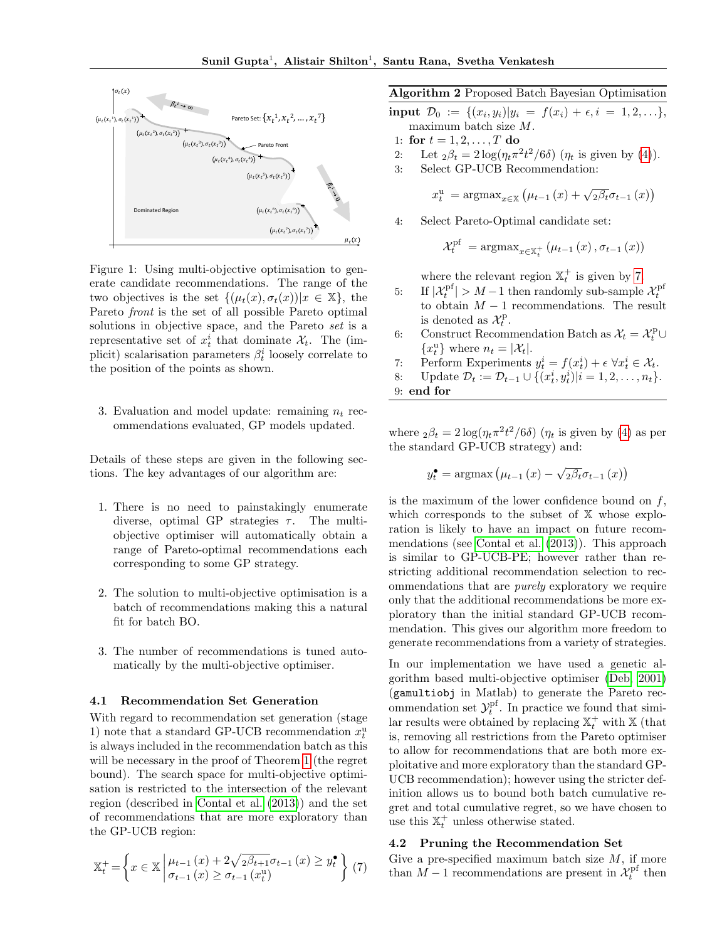<span id="page-4-0"></span>

Figure 1: Using multi-objective optimisation to generate candidate recommendations. The range of the two objectives is the set  $\{(u_t(x), \sigma_t(x))|x \in \mathbb{X}\}\)$ , the Pareto front is the set of all possible Pareto optimal solutions in objective space, and the Pareto set is a representative set of  $x_t^i$  that dominate  $\mathcal{X}_t$ . The (implicit) scalarisation parameters  $\beta_t^i$  loosely correlate to the position of the points as shown.

3. Evaluation and model update: remaining  $n_t$  recommendations evaluated, GP models updated.

Details of these steps are given in the following sections. The key advantages of our algorithm are:

- 1. There is no need to painstakingly enumerate diverse, optimal GP strategies  $\tau$ . The multiobjective optimiser will automatically obtain a range of Pareto-optimal recommendations each corresponding to some GP strategy.
- 2. The solution to multi-objective optimisation is a batch of recommendations making this a natural fit for batch BO.
- 3. The number of recommendations is tuned automatically by the multi-objective optimiser.

#### 4.1 Recommendation Set Generation

With regard to recommendation set generation (stage 1) note that a standard GP-UCB recommendation  $x_t^{\mathrm{u}}$ is always included in the recommendation batch as this will be necessary in the proof of Theorem [1](#page-5-0) (the regret bound). The search space for multi-objective optimisation is restricted to the intersection of the relevant region (described in [Contal et al.](#page-8-12) [\(2013\)](#page-8-12)) and the set of recommendations that are more exploratory than the GP-UCB region:

<span id="page-4-2"></span>
$$
\mathbb{X}_t^+ = \left\{ x \in \mathbb{X} \middle| \begin{array}{l} \mu_{t-1}(x) + 2\sqrt{2\beta_{t+1}}\sigma_{t-1}(x) \ge y_t^* \\ \sigma_{t-1}(x) \ge \sigma_{t-1}(x_t^u) \end{array} \right\} (7)
$$

#### <span id="page-4-1"></span>Algorithm 2 Proposed Batch Bayesian Optimisation

- input  $\mathcal{D}_0 := \{ (x_i, y_i) | y_i = f(x_i) + \epsilon, i = 1, 2, \ldots \},\$ maximum batch size M.
- 1: for  $t = 1, 2, ..., T$  do
- 2: Let  $_2\beta_t = 2\log(\eta_t \pi^2 t^2/6\delta)$   $(\eta_t$  is given by [\(4\)](#page-2-3)).
- 3: Select GP-UCB Recommendation:

$$
x_t^{\mathrm{u}} = \mathrm{argmax}_{x \in \mathbb{X}} \left( \mu_{t-1}(x) + \sqrt{2\beta_t} \sigma_{t-1}(x) \right)
$$

4: Select Pareto-Optimal candidate set:

$$
\mathcal{X}_{t}^{\mathrm{pf}} = \mathrm{argmax}_{x \in \mathbb{X}_{t}^{+}} \left( \mu_{t-1} \left( x \right), \sigma_{t-1} \left( x \right) \right)
$$

where the relevant region  $\mathbb{X}_{t}^{+}$  is given by [7.](#page-4-2)

- 5: If  $|\mathcal{X}_t^{\text{pf}}| > M 1$  then randomly sub-sample  $\mathcal{X}_t^{\text{pf}}$ to obtain  $M-1$  recommendations. The result is denoted as  $\mathcal{X}_t^{\text{p}}$ .
- 6: Construct Recommendation Batch as  $\mathcal{X}_t = \mathcal{X}_t^{\text{p}} \cup$  ${x_t^u}$  where  $n_t = |\mathcal{X}_t|$ .
- 7: Perform Experiments  $y_t^i = f(x_t^i) + \epsilon \ \forall x_t^i \in \mathcal{X}_t$ .
- 8: Update  $\mathcal{D}_t := \mathcal{D}_{t-1} \cup \{(x_t^i, y_t^i) | i = 1, 2, \dots, n_t\}.$
- 9: end for

where  $_2\beta_t = 2\log(\eta_t \pi^2 t^2/6\delta)$  ( $\eta_t$  is given by [\(4\)](#page-2-3) as per the standard GP-UCB strategy) and:

$$
y_t^{\bullet} = \operatorname{argmax} (\mu_{t-1}(x) - \sqrt{2\beta_t} \sigma_{t-1}(x))
$$

is the maximum of the lower confidence bound on  $f$ , which corresponds to the subset of  $X$  whose exploration is likely to have an impact on future recommendations (see [Contal et al.](#page-8-12) [\(2013\)](#page-8-12)). This approach is similar to GP-UCB-PE; however rather than restricting additional recommendation selection to recommendations that are purely exploratory we require only that the additional recommendations be more exploratory than the initial standard GP-UCB recommendation. This gives our algorithm more freedom to generate recommendations from a variety of strategies.

In our implementation we have used a genetic algorithm based multi-objective optimiser [\(Deb, 2001\)](#page-8-18) (gamultiobj in Matlab) to generate the Pareto recommendation set  $\mathcal{Y}^{\text{pf}}_t$ . In practice we found that similar results were obtained by replacing  $\mathbb{X}_{t}^{+}$  with  $\mathbb{X}$  (that is, removing all restrictions from the Pareto optimiser to allow for recommendations that are both more exploitative and more exploratory than the standard GP-UCB recommendation); however using the stricter definition allows us to bound both batch cumulative regret and total cumulative regret, so we have chosen to use this  $\mathbb{X}_{t}^{+}$  unless otherwise stated.

#### 4.2 Pruning the Recommendation Set

Give a pre-specified maximum batch size  $M$ , if more than  $M-1$  recommendations are present in  $\mathcal{X}^{\text{pf}}_t$  then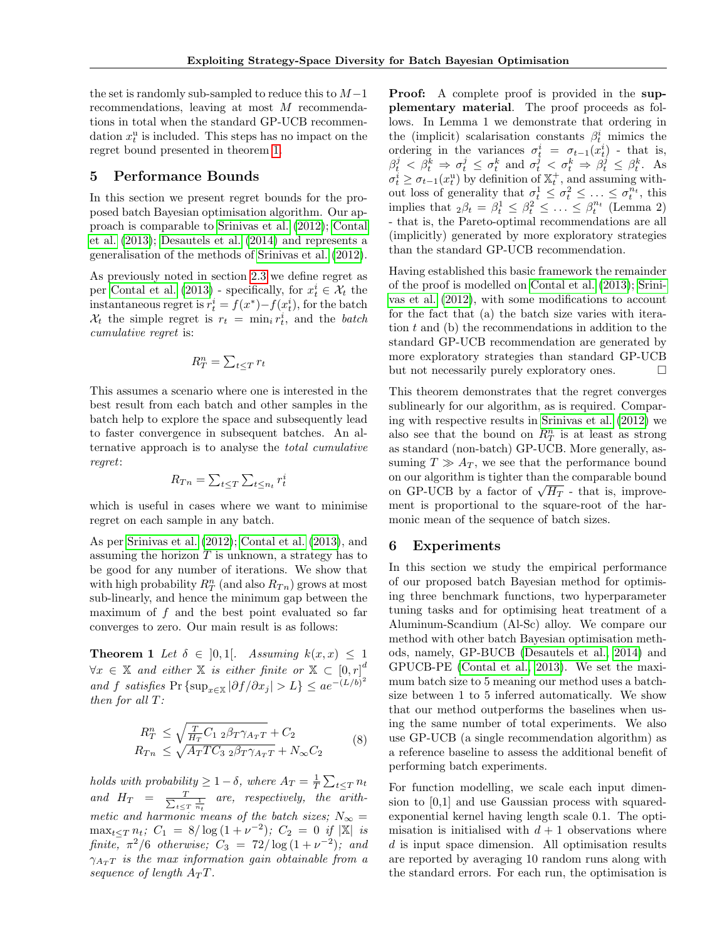the set is randomly sub-sampled to reduce this to  $M-1$ recommendations, leaving at most M recommendations in total when the standard GP-UCB recommendation  $x_t^u$  is included. This steps has no impact on the regret bound presented in theorem [1.](#page-5-0)

## 5 Performance Bounds

In this section we present regret bounds for the proposed batch Bayesian optimisation algorithm. Our approach is comparable to [Srinivas et al.](#page-8-4) [\(2012\)](#page-8-4); [Contal](#page-8-12) [et al.](#page-8-12) [\(2013\)](#page-8-12); [Desautels et al.](#page-8-10) [\(2014\)](#page-8-10) and represents a generalisation of the methods of [Srinivas et al.](#page-8-4) [\(2012\)](#page-8-4).

As previously noted in section [2.3](#page-2-4) we define regret as per [Contal et al.](#page-8-12) [\(2013\)](#page-8-12) - specifically, for  $x_t^i \in \mathcal{X}_t$  the instantaneous regret is  $r_t^i = f(x^*) - f(x_t^i)$ , for the batch  $\mathcal{X}_t$  the simple regret is  $r_t = \min_i r_t^i$ , and the *batch* cumulative regret is:

$$
R_T^n = \sum_{t \le T} r_t
$$

This assumes a scenario where one is interested in the best result from each batch and other samples in the batch help to explore the space and subsequently lead to faster convergence in subsequent batches. An alternative approach is to analyse the total cumulative regret:

$$
R_{Tn} = \sum_{t \leq T} \sum_{t \leq n_t} r_t^i
$$

which is useful in cases where we want to minimise regret on each sample in any batch.

As per [Srinivas et al.](#page-8-4) [\(2012\)](#page-8-4); [Contal et al.](#page-8-12) [\(2013\)](#page-8-12), and assuming the horizon  $T$  is unknown, a strategy has to be good for any number of iterations. We show that with high probability  $R_T^n$  (and also  $R_{T_n}$ ) grows at most sub-linearly, and hence the minimum gap between the maximum of  $f$  and the best point evaluated so far converges to zero. Our main result is as follows:

**Theorem 1** Let  $\delta \in [0,1]$ . Assuming  $k(x, x) \leq 1$  $\forall x \in \mathbb{X}$  and either  $\mathbb{X}$  is either finite or  $\mathbb{X} \subset [0,r]^d$ and f satisfies Pr {sup<sub>x∈X</sub>  $|\partial f/\partial x_j| > L$ }  $\leq a e^{-(L/b)^2}$ then for all T:

<span id="page-5-0"></span>
$$
R_T^n \le \sqrt{\frac{T}{H_T} C_{12} \beta_T \gamma_{A_T T}} + C_2
$$
  
\n
$$
R_{Tn} \le \sqrt{A_T T C_{32} \beta_T \gamma_{A_T T}} + N_{\infty} C_2
$$
 (8)

holds with probability  $\geq 1-\delta$ , where  $A_T = \frac{1}{T} \sum_{t \leq T} n_t$ and  $H_T = \frac{T}{\sum_{t \leq T}}$  $rac{T}{t \leq T}$  are, respectively, the arithmetic and harmonic means of the batch sizes;  $N_{\infty} =$  $\max_{t \leq T} n_t$ ;  $C_1 = 8/\log(1+\nu^{-2})$ ;  $C_2 = 0$  if  $|\mathbb{X}|$  is finite,  $\pi^2/6$  otherwise;  $C_3 = 72/\log(1+\nu^{-2})$ ; and  $\gamma_{A_T}$  is the max information gain obtainable from a sequence of length  $A_T T$ .

Proof: A complete proof is provided in the supplementary material. The proof proceeds as follows. In Lemma 1 we demonstrate that ordering in the (implicit) scalarisation constants  $\beta_t^i$  mimics the ordering in the variances  $\sigma_t^i = \sigma_{t-1}(x_t^i)$  - that is,  $\beta_t^j < \beta_t^k \Rightarrow \sigma_t^j \leq \sigma_t^k$  and  $\sigma_t^j < \sigma_t^k \Rightarrow \beta_t^j \leq \beta_t^k$ . As  $\sigma_t^i \geq \sigma_{t-1}(x_t^u)$  by definition of  $\mathbb{X}_t^+$ , and assuming without loss of generality that  $\sigma_t^1 \leq \sigma_t^2 \leq \ldots \leq \sigma_t^{\bar{n}_t}$ , this implies that  ${}_2\beta_t = \beta_t^1 \leq \beta_t^2 \leq \ldots \leq \beta_t^{n_t}$  (Lemma 2) - that is, the Pareto-optimal recommendations are all (implicitly) generated by more exploratory strategies than the standard GP-UCB recommendation.

Having established this basic framework the remainder of the proof is modelled on [Contal et al.](#page-8-12) [\(2013\)](#page-8-12); [Srini](#page-8-4)[vas et al.](#page-8-4) [\(2012\)](#page-8-4), with some modifications to account for the fact that (a) the batch size varies with iteration  $t$  and (b) the recommendations in addition to the standard GP-UCB recommendation are generated by more exploratory strategies than standard GP-UCB but not necessarily purely exploratory ones.  $\Box$ 

This theorem demonstrates that the regret converges sublinearly for our algorithm, as is required. Comparing with respective results in [Srinivas et al.](#page-8-4) [\(2012\)](#page-8-4) we also see that the bound on  $R_T^n$  is at least as strong as standard (non-batch) GP-UCB. More generally, assuming  $T \gg A_T$ , we see that the performance bound on our algorithm is tighter than the comparable bound on our algorithm is tighter than the comparable bound<br>on GP-UCB by a factor of  $\sqrt{H_T}$  - that is, improvement is proportional to the square-root of the harmonic mean of the sequence of batch sizes.

## 6 Experiments

In this section we study the empirical performance of our proposed batch Bayesian method for optimising three benchmark functions, two hyperparameter tuning tasks and for optimising heat treatment of a Aluminum-Scandium (Al-Sc) alloy. We compare our method with other batch Bayesian optimisation methods, namely, GP-BUCB [\(Desautels et al., 2014\)](#page-8-10) and GPUCB-PE [\(Contal et al., 2013\)](#page-8-12). We set the maximum batch size to 5 meaning our method uses a batchsize between 1 to 5 inferred automatically. We show that our method outperforms the baselines when using the same number of total experiments. We also use GP-UCB (a single recommendation algorithm) as a reference baseline to assess the additional benefit of performing batch experiments.

For function modelling, we scale each input dimension to [0,1] and use Gaussian process with squaredexponential kernel having length scale 0.1. The optimisation is initialised with  $d+1$  observations where d is input space dimension. All optimisation results are reported by averaging 10 random runs along with the standard errors. For each run, the optimisation is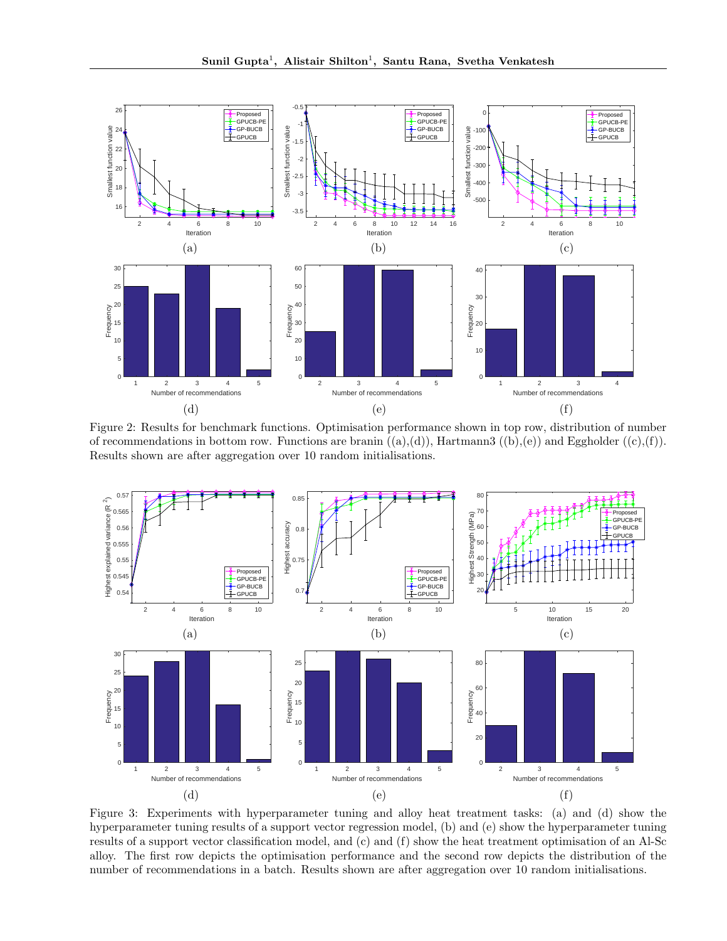<span id="page-6-0"></span>

Figure 2: Results for benchmark functions. Optimisation performance shown in top row, distribution of number of recommendations in bottom row. Functions are branin  $((a),(d))$ , Hartmann3  $((b),(e))$  and Eggholder  $((c),(f))$ . Results shown are after aggregation over 10 random initialisations.

<span id="page-6-1"></span>

Figure 3: Experiments with hyperparameter tuning and alloy heat treatment tasks: (a) and (d) show the hyperparameter tuning results of a support vector regression model, (b) and (e) show the hyperparameter tuning results of a support vector classification model, and (c) and (f) show the heat treatment optimisation of an Al-Sc alloy. The first row depicts the optimisation performance and the second row depicts the distribution of the number of recommendations in a batch. Results shown are after aggregation over 10 random initialisations.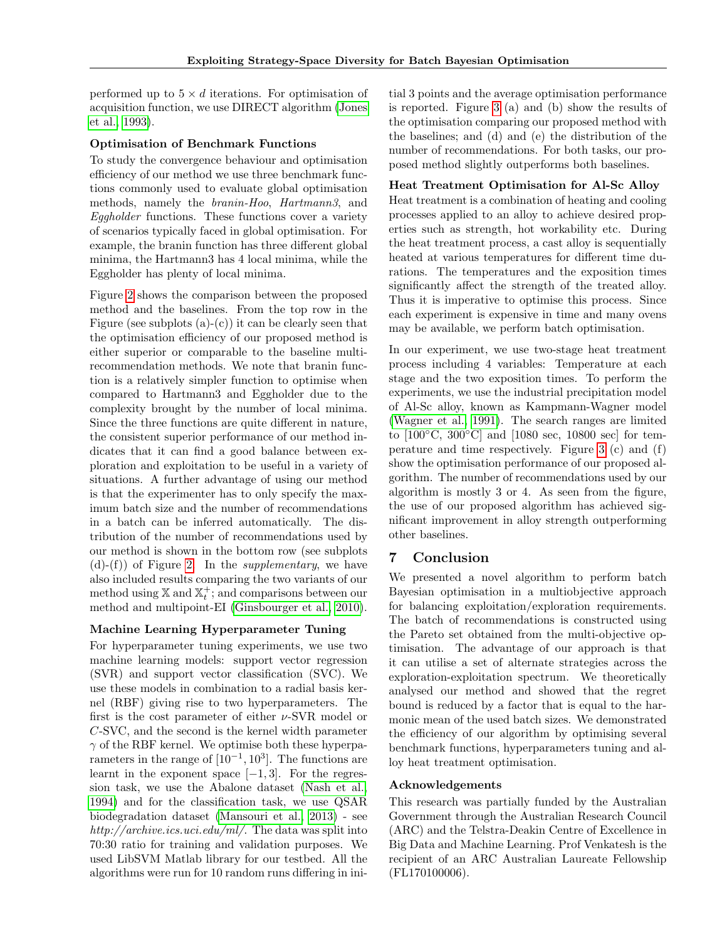performed up to  $5 \times d$  iterations. For optimisation of acquisition function, we use DIRECT algorithm [\(Jones](#page-8-19) [et al., 1993\)](#page-8-19).

#### Optimisation of Benchmark Functions

To study the convergence behaviour and optimisation efficiency of our method we use three benchmark functions commonly used to evaluate global optimisation methods, namely the branin-Hoo, Hartmann3, and Eggholder functions. These functions cover a variety of scenarios typically faced in global optimisation. For example, the branin function has three different global minima, the Hartmann3 has 4 local minima, while the Eggholder has plenty of local minima.

Figure [2](#page-6-0) shows the comparison between the proposed method and the baselines. From the top row in the Figure (see subplots  $(a)-(c)$ ) it can be clearly seen that the optimisation efficiency of our proposed method is either superior or comparable to the baseline multirecommendation methods. We note that branin function is a relatively simpler function to optimise when compared to Hartmann3 and Eggholder due to the complexity brought by the number of local minima. Since the three functions are quite different in nature, the consistent superior performance of our method indicates that it can find a good balance between exploration and exploitation to be useful in a variety of situations. A further advantage of using our method is that the experimenter has to only specify the maximum batch size and the number of recommendations in a batch can be inferred automatically. The distribution of the number of recommendations used by our method is shown in the bottom row (see subplots  $(d)-(f)$  of Figure [2.](#page-6-0) In the *supplementary*, we have also included results comparing the two variants of our method using  $X$  and  $X_t^+$ ; and comparisons between our method and multipoint-EI [\(Ginsbourger et al., 2010\)](#page-8-8).

#### Machine Learning Hyperparameter Tuning

For hyperparameter tuning experiments, we use two machine learning models: support vector regression (SVR) and support vector classification (SVC). We use these models in combination to a radial basis kernel (RBF) giving rise to two hyperparameters. The first is the cost parameter of either  $\nu$ -SVR model or C-SVC, and the second is the kernel width parameter  $\gamma$  of the RBF kernel. We optimise both these hyperparameters in the range of  $[10^{-1}, 10^3]$ . The functions are learnt in the exponent space  $[-1, 3]$ . For the regression task, we use the Abalone dataset [\(Nash et al.,](#page-8-20) [1994\)](#page-8-20) and for the classification task, we use QSAR biodegradation dataset [\(Mansouri et al., 2013\)](#page-8-21) - see http://archive.ics.uci.edu/ml/. The data was split into 70:30 ratio for training and validation purposes. We used LibSVM Matlab library for our testbed. All the algorithms were run for 10 random runs differing in initial 3 points and the average optimisation performance is reported. Figure [3](#page-6-1) (a) and (b) show the results of the optimisation comparing our proposed method with the baselines; and (d) and (e) the distribution of the number of recommendations. For both tasks, our proposed method slightly outperforms both baselines.

## Heat Treatment Optimisation for Al-Sc Alloy

Heat treatment is a combination of heating and cooling processes applied to an alloy to achieve desired properties such as strength, hot workability etc. During the heat treatment process, a cast alloy is sequentially heated at various temperatures for different time durations. The temperatures and the exposition times significantly affect the strength of the treated alloy. Thus it is imperative to optimise this process. Since each experiment is expensive in time and many ovens may be available, we perform batch optimisation.

In our experiment, we use two-stage heat treatment process including 4 variables: Temperature at each stage and the two exposition times. To perform the experiments, we use the industrial precipitation model of Al-Sc alloy, known as Kampmann-Wagner model [\(Wagner et al., 1991\)](#page-9-3). The search ranges are limited to [100◦C, 300◦C] and [1080 sec, 10800 sec] for temperature and time respectively. Figure [3](#page-6-1) (c) and (f) show the optimisation performance of our proposed algorithm. The number of recommendations used by our algorithm is mostly 3 or 4. As seen from the figure, the use of our proposed algorithm has achieved significant improvement in alloy strength outperforming other baselines.

## 7 Conclusion

We presented a novel algorithm to perform batch Bayesian optimisation in a multiobjective approach for balancing exploitation/exploration requirements. The batch of recommendations is constructed using the Pareto set obtained from the multi-objective optimisation. The advantage of our approach is that it can utilise a set of alternate strategies across the exploration-exploitation spectrum. We theoretically analysed our method and showed that the regret bound is reduced by a factor that is equal to the harmonic mean of the used batch sizes. We demonstrated the efficiency of our algorithm by optimising several benchmark functions, hyperparameters tuning and alloy heat treatment optimisation.

#### Acknowledgements

This research was partially funded by the Australian Government through the Australian Research Council (ARC) and the Telstra-Deakin Centre of Excellence in Big Data and Machine Learning. Prof Venkatesh is the recipient of an ARC Australian Laureate Fellowship (FL170100006).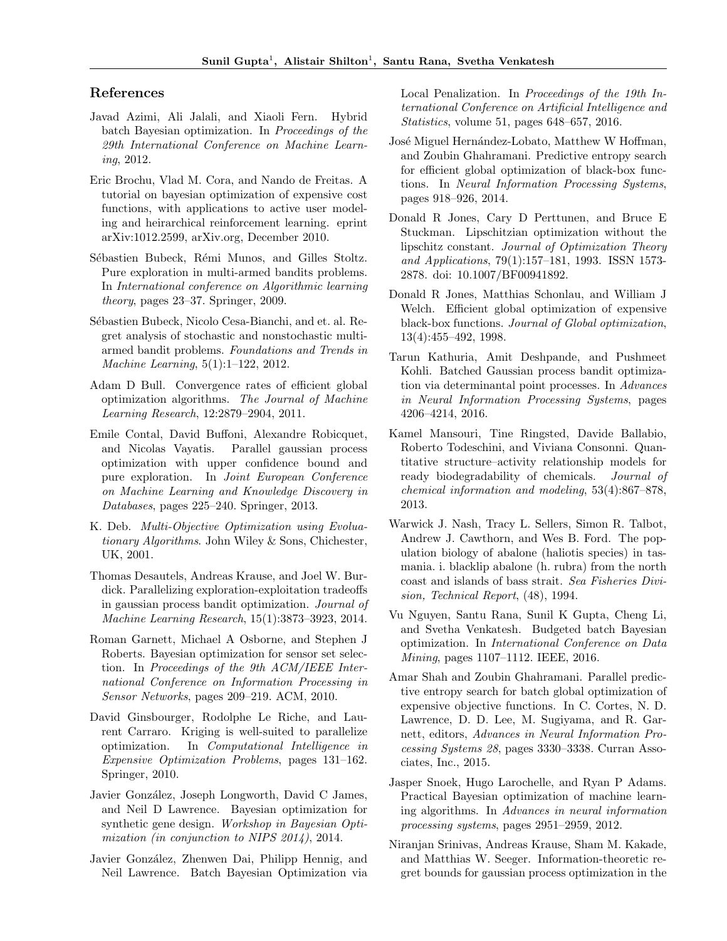## References

- <span id="page-8-9"></span>Javad Azimi, Ali Jalali, and Xiaoli Fern. Hybrid batch Bayesian optimization. In Proceedings of the 29th International Conference on Machine Learning, 2012.
- <span id="page-8-13"></span>Eric Brochu, Vlad M. Cora, and Nando de Freitas. A tutorial on bayesian optimization of expensive cost functions, with applications to active user modeling and heirarchical reinforcement learning. eprint arXiv:1012.2599, arXiv.org, December 2010.
- <span id="page-8-16"></span>Sébastien Bubeck, Rémi Munos, and Gilles Stoltz. Pure exploration in multi-armed bandits problems. In International conference on Algorithmic learning theory, pages 23–37. Springer, 2009.
- <span id="page-8-17"></span>Sébastien Bubeck, Nicolo Cesa-Bianchi, and et. al. Regret analysis of stochastic and nonstochastic multiarmed bandit problems. Foundations and Trends in Machine Learning, 5(1):1–122, 2012.
- <span id="page-8-6"></span>Adam D Bull. Convergence rates of efficient global optimization algorithms. The Journal of Machine Learning Research, 12:2879–2904, 2011.
- <span id="page-8-12"></span>Emile Contal, David Buffoni, Alexandre Robicquet, and Nicolas Vayatis. Parallel gaussian process optimization with upper confidence bound and pure exploration. In Joint European Conference on Machine Learning and Knowledge Discovery in Databases, pages 225–240. Springer, 2013.
- <span id="page-8-18"></span>K. Deb. Multi-Objective Optimization using Evoluationary Algorithms. John Wiley & Sons, Chichester, UK, 2001.
- <span id="page-8-10"></span>Thomas Desautels, Andreas Krause, and Joel W. Burdick. Parallelizing exploration-exploitation tradeoffs in gaussian process bandit optimization. Journal of Machine Learning Research, 15(1):3873–3923, 2014.
- <span id="page-8-1"></span>Roman Garnett, Michael A Osborne, and Stephen J Roberts. Bayesian optimization for sensor set selection. In Proceedings of the 9th ACM/IEEE International Conference on Information Processing in Sensor Networks, pages 209–219. ACM, 2010.
- <span id="page-8-8"></span>David Ginsbourger, Rodolphe Le Riche, and Laurent Carraro. Kriging is well-suited to parallelize optimization. In Computational Intelligence in Expensive Optimization Problems, pages 131–162. Springer, 2010.
- <span id="page-8-0"></span>Javier González, Joseph Longworth, David C James, and Neil D Lawrence. Bayesian optimization for synthetic gene design. Workshop in Bayesian Optimization (in conjunction to NIPS 2014), 2014.
- <span id="page-8-7"></span>Javier González, Zhenwen Dai, Philipp Hennig, and Neil Lawrence. Batch Bayesian Optimization via

Local Penalization. In Proceedings of the 19th International Conference on Artificial Intelligence and Statistics, volume 51, pages 648–657, 2016.

- <span id="page-8-5"></span>José Miguel Hernández-Lobato, Matthew W Hoffman, and Zoubin Ghahramani. Predictive entropy search for efficient global optimization of black-box functions. In Neural Information Processing Systems, pages 918–926, 2014.
- <span id="page-8-19"></span>Donald R Jones, Cary D Perttunen, and Bruce E Stuckman. Lipschitzian optimization without the lipschitz constant. Journal of Optimization Theory and Applications, 79(1):157–181, 1993. ISSN 1573- 2878. doi: 10.1007/BF00941892.
- <span id="page-8-3"></span>Donald R Jones, Matthias Schonlau, and William J Welch. Efficient global optimization of expensive black-box functions. Journal of Global optimization, 13(4):455–492, 1998.
- <span id="page-8-14"></span>Tarun Kathuria, Amit Deshpande, and Pushmeet Kohli. Batched Gaussian process bandit optimization via determinantal point processes. In Advances in Neural Information Processing Systems, pages 4206–4214, 2016.
- <span id="page-8-21"></span>Kamel Mansouri, Tine Ringsted, Davide Ballabio, Roberto Todeschini, and Viviana Consonni. Quantitative structure–activity relationship models for ready biodegradability of chemicals. Journal of chemical information and modeling, 53(4):867–878, 2013.
- <span id="page-8-20"></span>Warwick J. Nash, Tracy L. Sellers, Simon R. Talbot, Andrew J. Cawthorn, and Wes B. Ford. The population biology of abalone (haliotis species) in tasmania. i. blacklip abalone (h. rubra) from the north coast and islands of bass strait. Sea Fisheries Division, Technical Report, (48), 1994.
- <span id="page-8-11"></span>Vu Nguyen, Santu Rana, Sunil K Gupta, Cheng Li, and Svetha Venkatesh. Budgeted batch Bayesian optimization. In International Conference on Data Mining, pages 1107–1112. IEEE, 2016.
- <span id="page-8-15"></span>Amar Shah and Zoubin Ghahramani. Parallel predictive entropy search for batch global optimization of expensive objective functions. In C. Cortes, N. D. Lawrence, D. D. Lee, M. Sugiyama, and R. Garnett, editors, Advances in Neural Information Processing Systems 28, pages 3330–3338. Curran Associates, Inc., 2015.
- <span id="page-8-2"></span>Jasper Snoek, Hugo Larochelle, and Ryan P Adams. Practical Bayesian optimization of machine learning algorithms. In Advances in neural information processing systems, pages 2951–2959, 2012.
- <span id="page-8-4"></span>Niranjan Srinivas, Andreas Krause, Sham M. Kakade, and Matthias W. Seeger. Information-theoretic regret bounds for gaussian process optimization in the